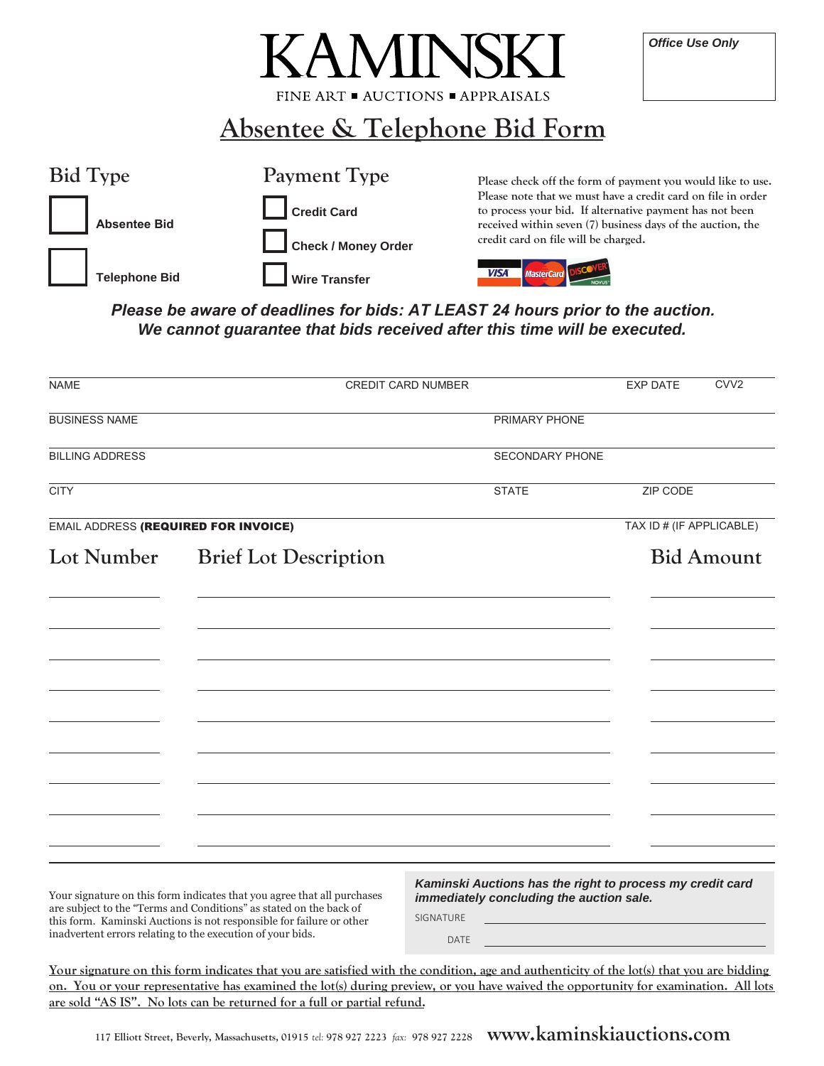| <b>KAMINSKI</b>                                             | <b>Office Use Only</b> |
|-------------------------------------------------------------|------------------------|
| FINE ART $\blacksquare$ AUCTIONS $\blacksquare$ APPR AISALS |                        |
|                                                             |                        |

**Absentee & Telephone Bid Form**

| <b>Bid Type</b>      | Payment Type         | Please check off the form of payment you would like to use.                                                                                                                             |
|----------------------|----------------------|-----------------------------------------------------------------------------------------------------------------------------------------------------------------------------------------|
| <b>Absentee Bid</b>  | <b>Credit Card</b>   | Please note that we must have a credit card on file in order<br>to process your bid. If alternative payment has not been<br>received within seven (7) business days of the auction, the |
|                      | Check / Money Order  | credit card on file will be charged.                                                                                                                                                    |
| <b>Telephone Bid</b> | <b>Wire Transfer</b> | <b>VISA</b>                                                                                                                                                                             |

*Please be aware of deadlines for bids: AT LEAST 24 hours prior to the auction. We cannot guarantee that bids received after this time will be executed.*

| <b>NAME</b>                                                                                                                                                                                                                                                                         | <b>CREDIT CARD NUMBER</b>    |                          |                                                                                                       | <b>EXP DATE</b>                                                            | CVV <sub>2</sub>  |
|-------------------------------------------------------------------------------------------------------------------------------------------------------------------------------------------------------------------------------------------------------------------------------------|------------------------------|--------------------------|-------------------------------------------------------------------------------------------------------|----------------------------------------------------------------------------|-------------------|
| <b>BUSINESS NAME</b>                                                                                                                                                                                                                                                                |                              |                          | PRIMARY PHONE                                                                                         |                                                                            |                   |
| <b>BILLING ADDRESS</b>                                                                                                                                                                                                                                                              |                              |                          | SECONDARY PHONE                                                                                       |                                                                            |                   |
| <b>CITY</b>                                                                                                                                                                                                                                                                         |                              | <b>STATE</b>             |                                                                                                       | ZIP CODE                                                                   |                   |
| <b>EMAIL ADDRESS (REQUIRED FOR INVOICE)</b>                                                                                                                                                                                                                                         |                              |                          |                                                                                                       | TAX ID # (IF APPLICABLE)                                                   |                   |
| Lot Number                                                                                                                                                                                                                                                                          | <b>Brief Lot Description</b> |                          |                                                                                                       |                                                                            | <b>Bid Amount</b> |
|                                                                                                                                                                                                                                                                                     |                              |                          |                                                                                                       |                                                                            |                   |
|                                                                                                                                                                                                                                                                                     |                              |                          |                                                                                                       |                                                                            |                   |
|                                                                                                                                                                                                                                                                                     |                              |                          |                                                                                                       |                                                                            |                   |
|                                                                                                                                                                                                                                                                                     |                              |                          |                                                                                                       |                                                                            |                   |
|                                                                                                                                                                                                                                                                                     |                              |                          |                                                                                                       |                                                                            |                   |
|                                                                                                                                                                                                                                                                                     |                              |                          |                                                                                                       |                                                                            |                   |
|                                                                                                                                                                                                                                                                                     |                              |                          |                                                                                                       |                                                                            |                   |
|                                                                                                                                                                                                                                                                                     |                              |                          |                                                                                                       |                                                                            |                   |
| Your signature on this form indicates that you agree that all purchases<br>are subject to the "Terms and Conditions" as stated on the back of<br>this form. Kaminski Auctions is not responsible for failure or other<br>inadvertent errors relating to the execution of your bids. |                              | SIGNATURE<br><b>DATE</b> | Kaminski Auctions has the right to process my credit card<br>immediately concluding the auction sale. | the control of the control of the control of the control of the control of |                   |

**Your signature on this form indicates that you are satisfied with the condition, age and authenticity of the lot(s) that you are bidding on. You or your representative has examined the lot(s) during preview, or you have waived the opportunity for examination. All lots are sold "AS IS". No lots can be returned for a full or partial refund.**

**117 Elliott Street, Beverly, Massachusetts, 01915** *tel:* **978 927 2223** *fax:* **978 927 2228 www.kaminskiauctions.com**